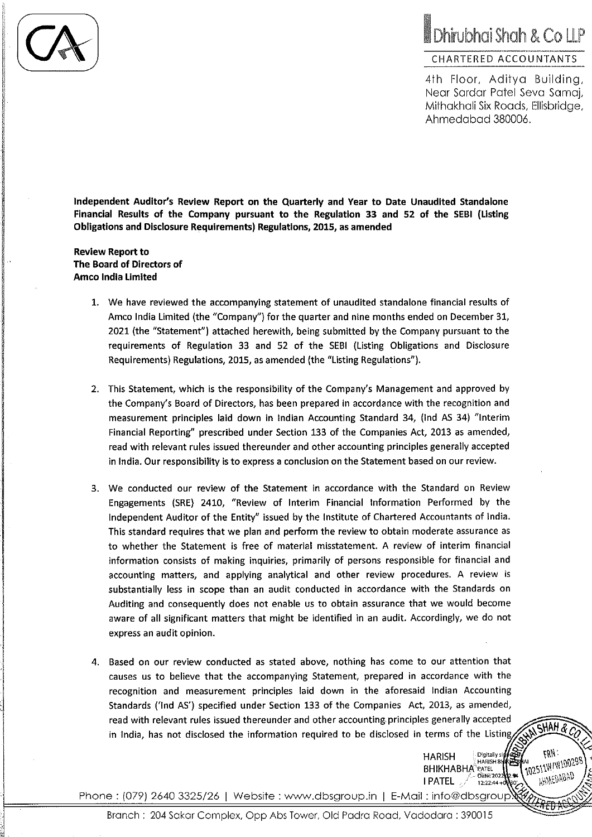## Dhirubhai Shah & Co LLP

## CHARTERED ACCOUNTANTS

4th Floor, Aditya Building, Near Sardar Patel Seva Samai, Mithakhali Six Roads, Ellisbridae, Ahmedabad 380006.

SHAH & CO

 $N$ 

102511W/W100298

AHMEDABAD

**HARISH** 

**I PATEL** 

**BHIKHABHA**<sup>2</sup> PATEL

Digitally sid

Date: 2022

 $12.22.44 +$ 

HARISH BHK

Independent Auditor's Review Report on the Quarterly and Year to Date Unaudited Standalone Financial Results of the Company pursuant to the Regulation 33 and 52 of the SEBI (Listing Obligations and Disclosure Requirements) Regulations, 2015, as amended

**Review Report to** The Board of Directors of **Amco India Limited** 

- 1. We have reviewed the accompanying statement of unaudited standalone financial results of Amco India Limited (the "Company") for the quarter and nine months ended on December 31, 2021 (the "Statement") attached herewith, being submitted by the Company pursuant to the requirements of Regulation 33 and 52 of the SEBI (Listing Obligations and Disclosure Requirements) Regulations, 2015, as amended (the "Listing Regulations").
- 2. This Statement, which is the responsibility of the Company's Management and approved by the Company's Board of Directors, has been prepared in accordance with the recognition and measurement principles laid down in Indian Accounting Standard 34, (Ind AS 34) "Interim Financial Reporting" prescribed under Section 133 of the Companies Act, 2013 as amended, read with relevant rules issued thereunder and other accounting principles generally accepted in India. Our responsibility is to express a conclusion on the Statement based on our review.
- 3. We conducted our review of the Statement in accordance with the Standard on Review Engagements (SRE) 2410, "Review of Interim Financial Information Performed by the Independent Auditor of the Entity" issued by the Institute of Chartered Accountants of India. This standard requires that we plan and perform the review to obtain moderate assurance as to whether the Statement is free of material misstatement. A review of interim financial information consists of making inquiries, primarily of persons responsible for financial and accounting matters, and applying analytical and other review procedures. A review is substantially less in scope than an audit conducted in accordance with the Standards on Auditing and consequently does not enable us to obtain assurance that we would become aware of all significant matters that might be identified in an audit. Accordingly, we do not express an audit opinion.
- 4. Based on our review conducted as stated above, nothing has come to our attention that causes us to believe that the accompanying Statement, prepared in accordance with the recognition and measurement principles laid down in the aforesaid Indian Accounting Standards ('Ind AS') specified under Section 133 of the Companies Act, 2013, as amended, read with relevant rules issued thereunder and other accounting principles generally accepted in India, has not disclosed the information required to be disclosed in terms of the Listing

Phone : (079) 2640 3325/26 | Website : www.dbsgroup.in | E-Mail : info@dbsgroup.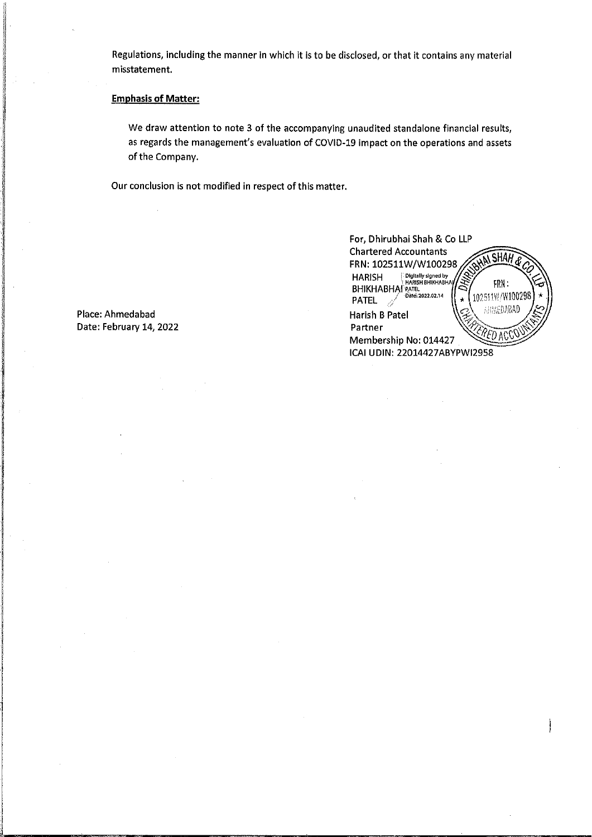Regulations, including the manner in which it is to be disclosed, or that it contains any material misstatement.

## **Emphasis of Matter:**

We draw attention to note 3 of the accompanying unaudited standalone financial results, as regards the management's evaluation of COVID-19 impact on the operations and assets of the Company.

Our conclusion is not modified in respect of this matter.

| For, Dhirubhai Shah & Co LLP                                                         |  |  |  |  |  |  |  |  |  |
|--------------------------------------------------------------------------------------|--|--|--|--|--|--|--|--|--|
| <b>Chartered Accountants</b>                                                         |  |  |  |  |  |  |  |  |  |
| FRN: 102511W/W100298                                                                 |  |  |  |  |  |  |  |  |  |
| .<br>⊦HARISH BHIKHABHA <mark>)</mark><br>∶HARISH BHIKHABHA <b>)</b><br><b>HARISH</b> |  |  |  |  |  |  |  |  |  |
| FRN:<br>BHIKHABHA PATEL                                                              |  |  |  |  |  |  |  |  |  |
| 102511W/W100298<br><b>PATEL</b>                                                      |  |  |  |  |  |  |  |  |  |
| ANAEDABAD<br><b>Harish B Patel</b>                                                   |  |  |  |  |  |  |  |  |  |
| Partner                                                                              |  |  |  |  |  |  |  |  |  |
| Membership No: 014427                                                                |  |  |  |  |  |  |  |  |  |
| ICAI UDIN: 22014427ABYPWI2958                                                        |  |  |  |  |  |  |  |  |  |
|                                                                                      |  |  |  |  |  |  |  |  |  |

Place: Ahmedabad Date: February 14, 2022